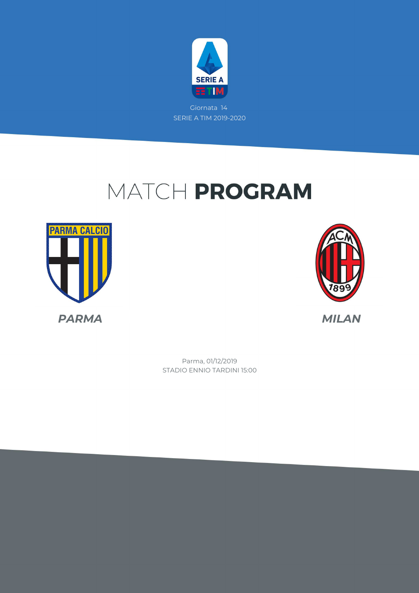

# MATCH PROGRAM





STADIO ENNIO TARDINI 15:00 Parma, 01/12/2019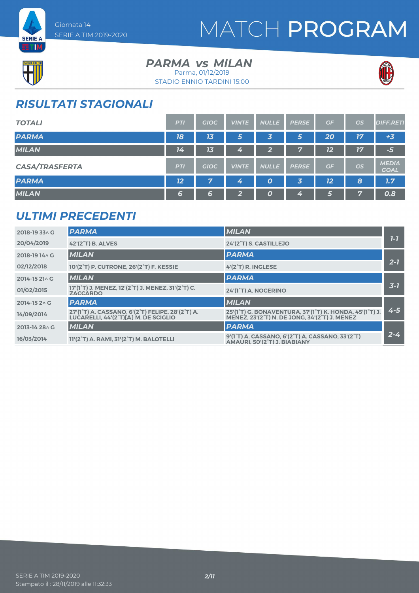



ET M

#### **PARMA** *vs* MILAN Parma, 01/12/2019

STADIO ENNIO TARDINI 15:00



### *RISULTATI STAGIONALI*

| <b>TOTALI</b>         | <b>PTI</b> | <b>GIOC</b> | <b>VINTE</b> | <b>NULLE</b>     | <b>PERSE</b> | GF | GS | <b>DIFF.RETI</b>            |
|-----------------------|------------|-------------|--------------|------------------|--------------|----|----|-----------------------------|
| <b>PARMA</b>          | 18         | 13          | 5            | 3                | 5            | 20 | 17 | $+3$                        |
| <b>MILAN</b>          | 14         | 13          | 4            | $\overline{2}$   | 7            | 12 | 17 | $-51$                       |
| <b>CASA/TRASFERTA</b> | <b>PTI</b> | <b>GIOC</b> | <b>VINTE</b> | <b>NULLE</b>     | <b>PERSE</b> | GF | GS | <b>MEDIA</b><br><b>GOAL</b> |
| <b>PARMA</b>          | 12         | 7           | 4            | $\boldsymbol{o}$ | 3            | 12 | 8  | 1.7                         |
| <b>MILAN</b>          | 6          | 6           | $\mathbf{2}$ | 0                | 4            | 5  | 7  | 0.8                         |

### *ULTIMI PRECEDENTI*

| 2018-19 33^ G          | <b>PARMA</b>                                                                                                | <b>MILAN</b>                                                                                                                                                              |         |
|------------------------|-------------------------------------------------------------------------------------------------------------|---------------------------------------------------------------------------------------------------------------------------------------------------------------------------|---------|
| 20/04/2019             | 42'(2 <sup>°</sup> T) B. ALVES                                                                              | 24'(2 <sup>°</sup> T) S. CASTILLEJO                                                                                                                                       | $7 - 7$ |
| 2018-19 14 \ G         | <b>MILAN</b>                                                                                                | <b>PARMA</b>                                                                                                                                                              |         |
| 02/12/2018             | 10'(2°T) P. CUTRONE, 26'(2°T) F. KESSIE                                                                     | 4'(2°T) R. INGLESE                                                                                                                                                        | $2 - 7$ |
| $2014 - 1521 \wedge G$ | <b>MILAN</b>                                                                                                | <b>PARMA</b>                                                                                                                                                              |         |
| 01/02/2015             | 17'(1 <sup>°</sup> T) J. MENEZ, 12'(2 <sup>°</sup> T) J. MENEZ, 31'(2 <sup>°</sup> T) C.<br><b>ZACCARDO</b> | 24'(1°T) A. NOCERINO                                                                                                                                                      | $3 - 7$ |
| 2014-15 2 \ G          | <b>PARMA</b>                                                                                                | <b>MILAN</b>                                                                                                                                                              |         |
| 14/09/2014             | 27'(1°T) A. CASSANO, 6'(2°T) FELIPE, 28'(2°T) A.<br>LUCARELLI. 44'(2°T)[A] M. DE SCIGLIO                    | 25'(1 <sup>°</sup> T) G. BONAVENTURA, 37'(1 <sup>°</sup> T) K. HONDA, 45'(1 <sup>°</sup> T) J.<br>MENEZ. 23'(2 <sup>°</sup> T) N. DE JONG. 34'(2 <sup>°</sup> T) J. MENEZ | $4 - 5$ |
| 2013-14 28 \ G         | <b>MILAN</b>                                                                                                | <b>PARMA</b>                                                                                                                                                              |         |
| 16/03/2014             | 11'(2°T) A. RAMI, 31'(2°T) M. BALOTELLI                                                                     | 9'(1°T) A. CASSANO, 6'(2°T) A. CASSANO, 33'(2°T)<br>AMAURI, 50'(2°T) J. BIABIANY                                                                                          | $2 - 4$ |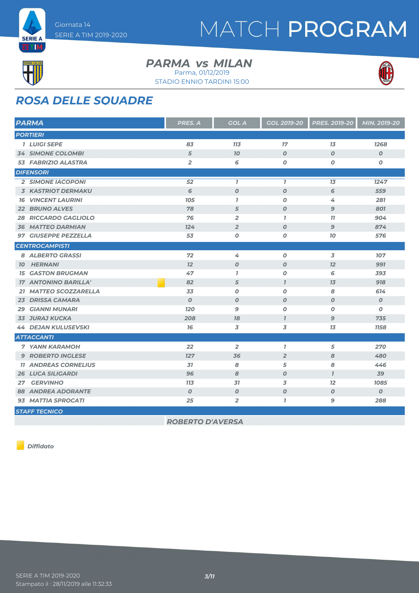



#### **PARMA** *vs* MILAN

Parma, 01/12/2019



STADIO ENNIO TARDINI 15:00

### *ROSA DELLE SQUADRE*

| <b>PARMA</b>                 | PRES. A          | <b>GOL A</b>     | GOL 2019-20      | <b>PRES. 2019-20</b> | MIN. 2019-20     |
|------------------------------|------------------|------------------|------------------|----------------------|------------------|
| <b>PORTIERI</b>              |                  |                  |                  |                      |                  |
| <b>1 LUIGI SEPE</b>          | 83               | 713              | 17               | $\overline{13}$      | <b>7268</b>      |
| <b>34 SIMONE COLOMBI</b>     | 5                | 70               | $\boldsymbol{O}$ | $\boldsymbol{O}$     | $\boldsymbol{o}$ |
| 53 FABRIZIO ALASTRA          | $\overline{2}$   | 6                | $\boldsymbol{O}$ | $\boldsymbol{O}$     | 0                |
| <b>DIFENSORI</b>             |                  |                  |                  |                      |                  |
| <b>2 SIMONE IACOPONI</b>     | 52               | $\mathbf{7}$     | $\mathbf{I}$     | 13                   | 1247             |
| <b>3 KASTRIOT DERMAKU</b>    | 6                | $\boldsymbol{0}$ | $\boldsymbol{O}$ | 6                    | 559              |
| <b>VINCENT LAURINI</b><br>16 | 105              | $\mathbf{7}$     | $\boldsymbol{0}$ | 4                    | 281              |
| <b>22 BRUNO ALVES</b>        | 78               | 5                | $\boldsymbol{0}$ | $\mathbf{9}$         | 801              |
| <b>28 RICCARDO GAGLIOLO</b>  | 76               | $\overline{2}$   | $\overline{1}$   | 11                   | 904              |
| <b>36 MATTEO DARMIAN</b>     | 124              | $\overline{2}$   | $\boldsymbol{O}$ | 9                    | 874              |
| 97 GIUSEPPE PEZZELLA         | 53               | O                | $\boldsymbol{O}$ | 10                   | 576              |
| <b>CENTROCAMPISTI</b>        |                  |                  |                  |                      |                  |
| 8 ALBERTO GRASSI             | 72               | 4                | $\boldsymbol{0}$ | 3                    | 107              |
| <b>10 HERNANI</b>            | 12               | $\boldsymbol{0}$ | $\boldsymbol{O}$ | 12                   | 991              |
| <b>GASTON BRUGMAN</b><br>15  | 47               | $\mathbf{7}$     | $\boldsymbol{O}$ | 6                    | 393              |
| <b>17 ANTONINO BARILLA'</b>  | 82               | 5                | $\overline{I}$   | 13                   | 918              |
| 21 MATTEO SCOZZARELLA        | 33               | $\boldsymbol{0}$ | $\boldsymbol{0}$ | 8                    | 614              |
| 23 DRISSA CAMARA             | $\boldsymbol{0}$ | $\boldsymbol{0}$ | $\boldsymbol{O}$ | $\boldsymbol{O}$     | $\boldsymbol{O}$ |
| <b>GIANNI MUNARI</b><br>29   | 120              | 9                | $\boldsymbol{O}$ | 0                    | 0                |
| <b>33 JURAJ KUCKA</b>        | 208              | 78               | $\overline{I}$   | $\mathbf{9}$         | 735              |
| <b>44 DEJAN KULUSEVSKI</b>   | 76               | 3                | 3                | 13                   | <b>1158</b>      |
| <b>ATTACCANTI</b>            |                  |                  |                  |                      |                  |
| <b>7 YANN KARAMOH</b>        | 22               | $\overline{2}$   | $\overline{1}$   | 5                    | 270              |
| <b>9 ROBERTO INGLESE</b>     | 127              | 36               | $\overline{2}$   | 8                    | 480              |
| <b>11 ANDREAS CORNELIUS</b>  | 31               | 8                | 5                | 8                    | 446              |
| <b>26 LUCA SILIGARDI</b>     | 96               | 8                | $\boldsymbol{O}$ | $\mathbf{I}$         | 39               |
| <b>GERVINHO</b><br>27        | <b>713</b>       | 31               | 3                | 12                   | 1085             |
| <b>88 ANDREA ADORANTE</b>    | $\boldsymbol{O}$ | O                | $\boldsymbol{0}$ | $\boldsymbol{0}$     | $\boldsymbol{o}$ |
| 93 MATTIA SPROCATI           | 25               | $\overline{2}$   | $\overline{1}$   | 9                    | 288              |
| <b>STAFF TECNICO</b>         |                  |                  |                  |                      |                  |

*ROBERTO D'AVERSA*

*Diffidato*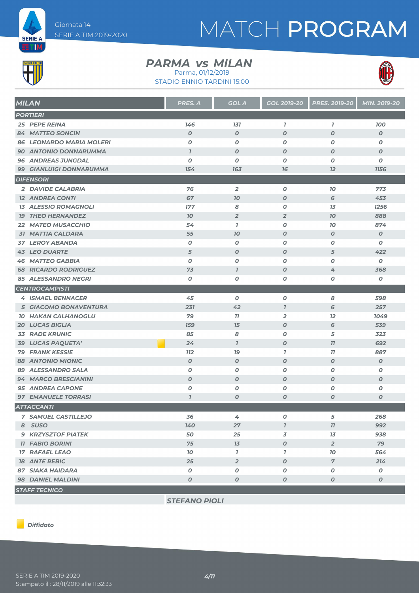

# MATCH PROGRAM



#### **PARMA** *vs* MILAN

STADIO ENNIO TARDINI 15:00 Parma, 01/12/2019



| <b>MILAN</b>                    | <b>PRES. A</b>   | <b>GOL A</b>     | <b>GOL 2019-20</b> | <b>PRES. 2019-20</b> | MIN. 2019-20     |
|---------------------------------|------------------|------------------|--------------------|----------------------|------------------|
| <b>PORTIERI</b>                 |                  |                  |                    |                      |                  |
| 25 PEPE REINA                   | 146              | 131              | $\mathbf{I}$       | $\mathbf{7}$         | <b>100</b>       |
| <b>84 MATTEO SONCIN</b>         | $\boldsymbol{O}$ | $\boldsymbol{O}$ | 0                  | $\boldsymbol{O}$     | $\boldsymbol{O}$ |
| <b>86 LEONARDO MARIA MOLERI</b> | 0                | $\boldsymbol{O}$ | O                  | $\boldsymbol{0}$     | $\boldsymbol{O}$ |
| <b>90 ANTONIO DONNARUMMA</b>    | $\overline{I}$   | $\boldsymbol{O}$ | $\boldsymbol{O}$   | $\boldsymbol{0}$     | $\boldsymbol{O}$ |
| <b>96 ANDREAS JUNGDAL</b>       | 0                | $\boldsymbol{O}$ | 0                  | $\boldsymbol{0}$     | $\boldsymbol{o}$ |
| 99 GIANLUIGI DONNARUMMA         | 154              | 163              | 76                 | 12                   | <b>1156</b>      |
| <b>DIFENSORI</b>                |                  |                  |                    |                      |                  |
| 2 DAVIDE CALABRIA               | $\overline{76}$  | $\overline{2}$   | O                  | 70                   | 773              |
| <b>12 ANDREA CONTI</b>          | 67               | 70               | $\boldsymbol{O}$   | 6                    | 453              |
| <b>13 ALESSIO ROMAGNOLI</b>     | 177              | 8                | 0                  | 13                   | 1256             |
| <b>19 THEO HERNANDEZ</b>        | 70               | $\overline{2}$   | $\overline{2}$     | 70                   | 888              |
| <b>22 MATEO MUSACCHIO</b>       | 54               | $\mathbf{I}$     | O                  | 10                   | 874              |
| <b>31 MATTIA CALDARA</b>        | 55               | 70               | O                  | $\boldsymbol{0}$     | $\boldsymbol{o}$ |
| <b>37 LEROY ABANDA</b>          | 0                | 0                | 0                  | 0                    | 0                |
| <b>43 LEO DUARTE</b>            | 5                | $\boldsymbol{O}$ | O                  | 5                    | 422              |
| <b>46 MATTEO GABBIA</b>         | $\boldsymbol{O}$ | $\boldsymbol{O}$ | O                  | $\boldsymbol{O}$     | $\boldsymbol{O}$ |
| <b>68 RICARDO RODRIGUEZ</b>     | 73               | $\overline{I}$   | $\boldsymbol{O}$   | 4                    | 368              |
| 85 ALESSANDRO NEGRI             | 0                | 0                | Ο                  | 0                    | O                |
| <b>CENTROCAMPISTI</b>           |                  |                  |                    |                      |                  |
| <b>4 ISMAEL BENNACER</b>        | 45               | $\boldsymbol{O}$ | 0                  | 8                    | 598              |
| <b>5 GIACOMO BONAVENTURA</b>    | 231              | 42               | $\mathbf{7}$       | 6                    | 257              |
| <b>10 HAKAN CALHANOGLU</b>      | 79               | 77               | 2                  | 12                   | 1049             |
| <b>20 LUCAS BIGLIA</b>          | <b>159</b>       | 15               | $\boldsymbol{o}$   | 6                    | 539              |
| <b>33 RADE KRUNIC</b>           | 85               | 8                | 0                  | 5                    | 323              |
| 39 LUCAS PAQUETA'               | 24               | $\mathbf{7}$     | $\boldsymbol{o}$   | 77                   | 692              |
| <b>79 FRANK KESSIE</b>          | <b>112</b>       | 79               | $\mathbf{I}$       | 11                   | 887              |
| <b>88 ANTONIO MIONIC</b>        | $\boldsymbol{O}$ | $\boldsymbol{O}$ | O                  | $\boldsymbol{0}$     | $\boldsymbol{o}$ |
| 89 ALESSANDRO SALA              | 0                | O                | Ο                  | $\boldsymbol{0}$     | O                |
| <b>94 MARCO BRESCIANINI</b>     | $\boldsymbol{O}$ | $\boldsymbol{O}$ | $\boldsymbol{O}$   | $\boldsymbol{0}$     | $\boldsymbol{O}$ |
| <b>95 ANDREA CAPONE</b>         | 0                | 0                | O                  | $\boldsymbol{O}$     | 0                |
| <b>97 EMANUELE TORRASI</b>      | $\overline{1}$   | O                | O                  | $\boldsymbol{o}$     | $\boldsymbol{O}$ |
| <b>ATTACCANTI</b>               |                  |                  |                    |                      |                  |
| <b>7 SAMUEL CASTILLEJO</b>      | 36               | 4                | 0                  | 5                    | 268              |
| 8 SUSO                          | 140              | 27               | $\mathbf{I}$       | 77                   | 992              |
| <b>9 KRZYSZTOF PIATEK</b>       | 50               | 25               | 3                  | 13                   | 938              |
| <b>11 FABIO BORINI</b>          | 75               | 13               | 0                  | $\overline{2}$       | 79               |
| <b>17 RAFAEL LEAO</b>           | 10 <sub>o</sub>  | $\mathbf{I}$     | $\mathbf{I}$       | 10 <sup>°</sup>      | 564              |
| <b>18 ANTE REBIC</b>            | 25               | $\overline{2}$   | 0                  | $\overline{7}$       | 214              |
| <b>87 SIAKA HAIDARA</b>         | 0                | $\boldsymbol{o}$ | O                  | 0                    | 0                |
| 98 DANIEL MALDINI               | 0                | $\boldsymbol{0}$ | O                  | $\boldsymbol{0}$     | $\boldsymbol{0}$ |
| <b>STAFF TECNICO</b>            |                  |                  |                    |                      |                  |

*STEFANO PIOLI*

*Diffidato*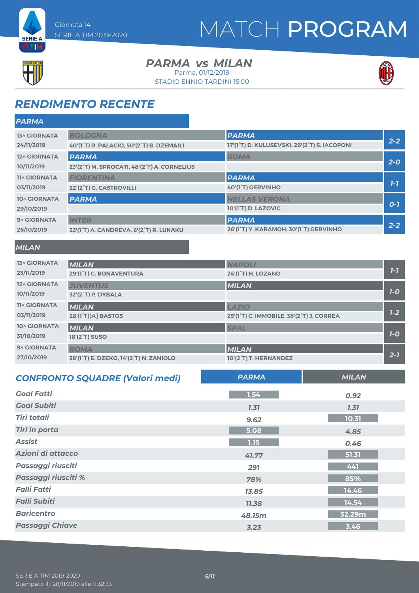



**ETM** 

#### **PARMA** *vs* MILAN Parma, 01/12/2019

STADIO ENNIO TARDINI 15:00



### *RENDIMENTO RECENTE*

| <b>PARMA</b>        |                                             |                                              |         |
|---------------------|---------------------------------------------|----------------------------------------------|---------|
| <b>13^ GIORNATA</b> | <b>BOLOGNA</b>                              | <b>PARMA</b>                                 |         |
| 24/11/2019          | 40'(1°T) R. PALACIO, 50'(2°T) B. DZEMAILI   | 17'(1°T) D. KULUSEVSKI, 26'(2°T) S. IACOPONI | $2 - 2$ |
| 12^ GIORNATA        | <b>PARMA</b>                                | <b>ROMA</b>                                  |         |
| 10/11/2019          | 23'(2°T) M. SPROCATI, 48'(2°T) A. CORNELIUS |                                              | $2 - 0$ |
| <b>11^ GIORNATA</b> | <b>FIORENTINA</b>                           | <b>PARMA</b>                                 |         |
| 03/11/2019          | 22'(2°T) G. CASTROVILLI                     | 40'(1°T) GERVINHO                            | $1 - 7$ |
| 10^ GIORNATA        | <b>PARMA</b>                                | <b>HELLAS VERONA</b>                         |         |
| 29/10/2019          |                                             | 10'(1 <sup>°</sup> T) D. LAZOVIC             | $O-1$   |
| 9^ GIORNATA         | <b>INTER</b>                                | <b>PARMA</b>                                 | $2 - 2$ |
| 26/10/2019          | 23'(1°T) A. CANDREVA, 6'(2°T) R. LUKAKU     | 26'(1°T) Y. KARAMOH, 30'(1°T) GERVINHO       |         |
|                     |                                             |                                              |         |

#### *MILAN*

| <b>13^ GIORNATA</b> | <b>MILAN</b>                                                     | <b>NAPOLI</b>                            |         |
|---------------------|------------------------------------------------------------------|------------------------------------------|---------|
| 23/11/2019          | 29'(1°T) G. BONAVENTURA                                          | 24'(1 <sup>°</sup> T) H. LOZANO          | $7 - 7$ |
| 12^ GIORNATA        | <b>JUVENTUS</b>                                                  | <b>MILAN</b>                             |         |
| 10/11/2019          | 32'(2°T) P. DYBALA                                               |                                          | $7-0$   |
| <b>11^ GIORNATA</b> | <b>MILAN</b>                                                     | <b>LAZIO</b>                             |         |
| 03/11/2019          | 28'(1 <sup>°</sup> T)[A] BASTOS                                  | 25'(1°T) C. IMMOBILE, 38'(2°T) J. CORREA | $1 - 2$ |
| 10^ GIORNATA        | <b>MILAN</b>                                                     | <b>SPAL</b>                              |         |
| 31/10/2019          | <b>18'(2°T) SUSO</b>                                             |                                          | $7-0$   |
| 9^ GIORNATA         | <b>ROMA</b>                                                      | <b>MILAN</b>                             |         |
| 27/10/2019          | 38'(1 <sup>°</sup> T) E. DZEKO, 14'(2 <sup>°</sup> T) N. ZANIOLO | 10'(2°T) T. HERNANDEZ                    | $2 - 1$ |

| <b>CONFRONTO SQUADRE (Valori medi)</b> | <b>PARMA</b> | <b>MILAN</b> |
|----------------------------------------|--------------|--------------|
| <b>Goal Fatti</b>                      | 1.54         | 0.92         |
| <b>Goal Subiti</b>                     | 7.37         | 7.37         |
| <b>Tiri totali</b>                     | 9.62         | 10.31        |
| <b>Tiri in porta</b>                   | 5.08         | 4.85         |
| <b>Assist</b>                          | 1.15         | 0.46         |
| Azioni di attacco                      | 41.77        | 51.31        |
| Passaggi riusciti                      | 291          | 441          |
| Passaggi riusciti %                    | 78%          | 85%          |
| <b>Falli Fatti</b>                     | 13.85        | 14.46        |
| <b>Falli Subiti</b>                    | 11.38        | 14.54        |
| <b>Baricentro</b>                      | 48.15m       | 52.29m       |
| <b>Passaggi Chiave</b>                 | 3.23         | 3.46         |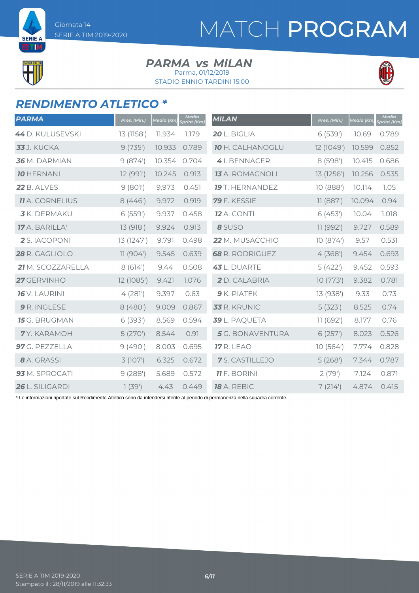

**SERIE A** ETIM

#### **PARMA** *vs* MILAN Parma, 01/12/2019

STADIO ENNIO TARDINI 15:00



#### *RENDIMENTO ATLETICO \**

| <b>PARMA</b>           | Pres. (Min.) | <u>Media (km)</u> | <b>Media</b><br><b>Sprint (Km)</b> | <b>MILAN</b>            | Pres. (Min.) | <b>Media</b> (km) | <b>Media</b><br>Sprint (Km) |
|------------------------|--------------|-------------------|------------------------------------|-------------------------|--------------|-------------------|-----------------------------|
| 44 D. KULUSEVSKI       | 13 (1158')   | 11.934            | 1.179                              | 20 L. BIGLIA            | 6(539)       | 10.69             | 0.789                       |
| <b>33</b> J. KUCKA     | 9(735)       | 10.933            | 0.789                              | <b>10 H. CALHANOGLU</b> | 12 (1049')   | 10.599            | 0.852                       |
| 36 M. DARMIAN          | 9(874)       | 10.354            | 0.704                              | 4I. BENNACER            | 8 (598')     | 10.415            | 0.686                       |
| <b>10 HERNANI</b>      | 12 (991')    | 10.245            | 0.913                              | <b>13</b> A. ROMAGNOLI  | 13 (1256')   | 10.256            | 0.535                       |
| 22 B. ALVES            | 9(801)       | 9.973             | 0.451                              | <b>19</b> T. HERNANDEZ  | 10 (888')    | 10.114            | 1.05                        |
| <b>11</b> A. CORNELIUS | 8(446)       | 9.972             | 0.919                              | 79 F. KESSIE            | 11 (887)     | 10.094            | 0.94                        |
| <b>3</b> K. DERMAKU    | 6(559)       | 9.937             | 0.458                              | <b>12</b> A. CONTI      | 6(453)       | 10.04             | 1.018                       |
| 17 A. BARILLA'         | 13 (918')    | 9.924             | 0.913                              | 8 SUSO                  | 11 (992')    | 9.727             | 0.589                       |
| 2 S. IACOPONI          | 13 (1247')   | 9.791             | 0.498                              | 22 M. MUSACCHIO         | 10(874)      | 9.57              | 0.531                       |
| 28 R. GAGLIOLO         | 11 (904')    | 9.545             | 0.639                              | <b>68</b> R. RODRIGUEZ  | 4(368)       | 9.454             | 0.693                       |
| 21 M. SCOZZARELLA      | 8(614)       | 9.44              | 0.508                              | 43 L. DUARTE            | 5(422)       | 9.452             | 0.593                       |
| 27 GERVINHO            | 12 (1085')   | 9.421             | 1.076                              | 2 D. CALABRIA           | 10(773)      | 9.382             | 0.781                       |
| <b>16</b> V. LAURINI   | 4(281)       | 9.397             | 0.63                               | 9 K. PIATEK             | 13 (938')    | 9.33              | 0.73                        |
| 9 R. INGLESE           | 8 (480')     | 9.009             | 0.867                              | 33 R. KRUNIC            | 5(323)       | 8.525             | 0.74                        |
| <b>15</b> G. BRUGMAN   | 6(393)       | 8.569             | 0.594                              | 39 L. PAQUETA'          | 11 (692')    | 8.177             | 0.76                        |
| 7Y. KARAMOH            | 5(270)       | 8.544             | 0.91                               | 5 G. BONAVENTURA        | 6(257)       | 8.023             | 0.526                       |
| 97 G. PEZZELLA         | 9(490)       | 8.003             | 0.695                              | <b>17</b> R. LEAO       | 10(564)      | 7.774             | 0.828                       |
| 8 A. GRASSI            | 3 (107')     | 6.325             | 0.672                              | 7S. CASTILLEJO          | 5(268)       | 7.344             | 0.787                       |
| 93 M. SPROCATI         | 9(288)       | 5.689             | 0.572                              | <b>11</b> F. BORINI     | 2(79)        | 7.124             | 0.871                       |
| 26 L. SILIGARDI        | 1(39')       | 4.43              | 0.449                              | 18 A. REBIC             | 7(214)       | 4.874             | 0.415                       |

\* Le informazioni riportate sul Rendimento Atletico sono da intendersi riferite al periodo di permanenza nella squadra corrente.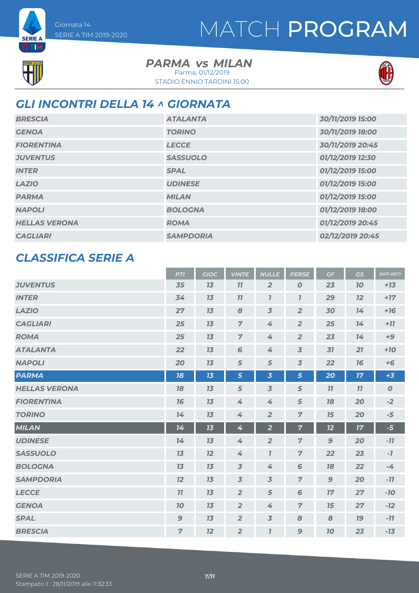



**SERIE A ETM** 

> **PARMA** *vs* MILAN Parma, 01/12/2019

STADIO ENNIO TARDINI 15:00



### *GLI INCONTRI DELLA 14 ^ GIORNATA*

| <b>BRESCIA</b>       | <b>ATALANTA</b>  | 30/11/2019 15:00 |
|----------------------|------------------|------------------|
| <b>GENOA</b>         | <b>TORINO</b>    | 30/11/2019 18:00 |
| <b>FIORENTINA</b>    | <b>LECCE</b>     | 30/11/2019 20:45 |
| <b>JUVENTUS</b>      | <b>SASSUOLO</b>  | 01/12/2019 12:30 |
| <b>INTER</b>         | <b>SPAL</b>      | 01/12/2019 15:00 |
| <b>LAZIO</b>         | <b>UDINESE</b>   | 01/12/2019 15:00 |
| <b>PARMA</b>         | <b>MILAN</b>     | 01/12/2019 15:00 |
| <b>NAPOLI</b>        | <b>BOLOGNA</b>   | 01/12/2019 18:00 |
| <b>HELLAS VERONA</b> | <b>ROMA</b>      | 01/12/2019 20:45 |
| <b>CAGLIARI</b>      | <b>SAMPDORIA</b> | 02/12/2019 20:45 |

#### *CLASSIFICA SERIE A*

|                      | <b>PTI</b>     | <b>GIOC</b> | <b>VINTE</b>   | <b>NULLE</b>                | <b>PERSE</b>     | GF               | <b>GS</b> | <b>DIFF.RETI</b> |
|----------------------|----------------|-------------|----------------|-----------------------------|------------------|------------------|-----------|------------------|
| <b>JUVENTUS</b>      | 35             | 13          | 11             | $\overline{2}$              | $\boldsymbol{0}$ | 23               | <b>10</b> | $+13$            |
| <b>INTER</b>         | 34             | 13          | 11             | $\mathbf{I}$                | $\overline{I}$   | 29               | 12        | $+17$            |
| <b>LAZIO</b>         | 27             | 13          | 8              | $\overline{3}$              | $\overline{2}$   | 30               | 14        | $+16$            |
| <b>CAGLIARI</b>      | 25             | 13          | $\overline{7}$ | 4                           | $\overline{2}$   | 25               | 14        | $+77$            |
| <b>ROMA</b>          | 25             | 13          | $\overline{7}$ | 4                           | $\overline{2}$   | 23               | 14        | $+9$             |
| <b>ATALANTA</b>      | 22             | 13          | 6              | 4                           | $\overline{3}$   | 31               | 21        | $+10$            |
| <b>NAPOLI</b>        | 20             | 13          | 5              | 5                           | $\overline{3}$   | 22               | 76        | $+6$             |
| <b>PARMA</b>         | 18             | 13          | 5              | $\overline{\mathbf{3}}$     | 5                | 20               | 17        | $+3$             |
| <b>HELLAS VERONA</b> | 18             | 13          | 5              | $\overline{3}$              | $\sqrt{5}$       | 11               | 11        | $\boldsymbol{O}$ |
| <b>FIORENTINA</b>    | 16             | 13          | 4              | 4                           | $\sqrt{5}$       | 18               | 20        | $-2$             |
| <b>TORINO</b>        | 14             | 13          | 4              | $\overline{2}$              | $\overline{z}$   | 15               | 20        | $-5$             |
| <b>MILAN</b>         | 14             | 13          | 4              | $\overline{2}$              | $\overline{7}$   | 12               | 17        | $-5$             |
| <b>UDINESE</b>       | 14             | 13          | 4              | $\overline{2}$              | $\overline{7}$   | $\boldsymbol{9}$ | 20        | $-11$            |
| <b>SASSUOLO</b>      | 13             | 12          | 4              | $\boldsymbol{\overline{I}}$ | $\overline{7}$   | 22               | 23        | $-7$             |
| <b>BOLOGNA</b>       | 13             | 13          | $\overline{3}$ | 4                           | 6                | 18               | 22        | $-4$             |
| <b>SAMPDORIA</b>     | 12             | 13          | $\overline{3}$ | $\overline{3}$              | $\overline{7}$   | $\mathbf{9}$     | 20        | $-11$            |
| <b>LECCE</b>         | 11             | 13          | $\overline{2}$ | 5                           | 6                | 17               | 27        | $-10$            |
| <b>GENOA</b>         | 10             | 13          | $\overline{2}$ | 4                           | $\overline{7}$   | 15               | 27        | $-12$            |
| <b>SPAL</b>          | $\mathbf{9}$   | 13          | $\overline{2}$ | $\overline{3}$              | 8                | 8                | <b>19</b> | $-11$            |
| <b>BRESCIA</b>       | $\overline{7}$ | 12          | $\overline{2}$ | $\mathbf{7}$                | 9                | 70               | 23        | $-13$            |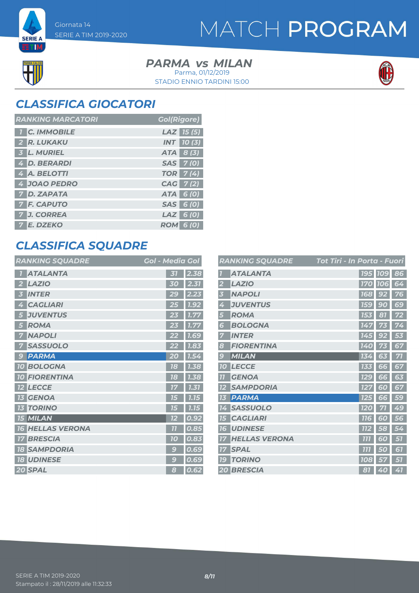## MATCH PROGRAM



**SERIE A ETIM** 

> **PARMA** *vs* MILAN STADIO ENNIO TARDINI 15:00 Parma, 01/12/2019



### *CLASSIFICA GIOCATORI*

| <b>RANKING MARCATORI</b> | <b>Gol(Rigore)</b> |
|--------------------------|--------------------|
| <b>T</b> C. IMMOBILE     | $LAZ$ 15 (5)       |
| 2 R. LUKAKU              | <b>INT</b> 10 (3)  |
| 3 L. MURIEL              | ATA 8 (3)          |
| 4 D. BERARDI             | SAS 7(0)           |
| 4 A. BELOTTI             | <b>TOR</b> 7(4)    |
| 4 JOAO PEDRO             | CAG 7(2)           |
| <b>7 D. ZAPATA</b>       | ATA 6 (0)          |
| <b>7 F. CAPUTO</b>       | SAS 6 (0)          |
| 7 J. CORREA              | $LAZ$ 6 (0)        |
| 7 E. DZEKO               | <b>ROM 6 (0)</b>   |

### *CLASSIFICA SQUADRE*

| <b>RANKING SQUADRE</b> | <b>Gol - Media Gol</b>                          |
|------------------------|-------------------------------------------------|
| <b>ATALANTA</b>        | 2.38<br>31                                      |
| <b>LAZIO</b>           | 2.31<br>30                                      |
| <b>INTER</b>           | 29                                              |
| 5                      | 2.23                                            |
| <b>CAGLIARI</b>        | 1.92                                            |
| Ø                      | 25                                              |
| <b>JUVENTUS</b>        | 1.77                                            |
| 5                      | 23                                              |
| <b>ROMA</b><br>5       | 1.77                                            |
| <b>NAPOLI</b><br>7     | 1.69                                            |
| <b>SASSUOLO</b>        | 1.83                                            |
| <b>PARMA</b>           | 1.54                                            |
| $\mathbf{G}$           | 20                                              |
| <b>10 BOLOGNA</b>      | 18<br>1.38                                      |
| <b>FIORENTINA</b>      | 1.38                                            |
| 10 <sup>°</sup>        | 78                                              |
| <b>LECCE</b>           | 1.31<br>17                                      |
| <b>GENOA</b>           | 7.15                                            |
| 73                     | 75                                              |
| <b>TORINO</b>          | 7.75                                            |
| 13                     | 75                                              |
| <b>15 MILAN</b>        | 0.9<br>72                                       |
| <b>HELLAS VERONA</b>   | $\overline{11}$                                 |
| 16                     | 0.85                                            |
| <b>BRESCIA</b>         | 10                                              |
| 17                     | 0.83                                            |
| <b>SAMPDORIA</b>       | g                                               |
| 18                     | 0.69                                            |
| <b>UDINESE</b>         | $\mathbf{g}% _{T}=\mathbf{G}_{T}\mathbf{G}_{T}$ |
| <b>18</b>              | 0.69                                            |
| 20 SPAL                | 0.62<br>8                                       |

|                | <b>RANKING SQUADRE</b> | Tot Tiri - In Porta - Fuori |                |    |
|----------------|------------------------|-----------------------------|----------------|----|
|                | <b>ATALANTA</b>        |                             | <b>195 109</b> | 86 |
|                | <b>LAZIO</b>           | <b>170</b>                  | <b>106</b>     | 64 |
| 3              | <b>NAPOLI</b>          | <b>168</b>                  | 92             | 76 |
| 4              | <b>JUVENTUS</b>        | <b>159</b>                  | 90             | 69 |
| 5              | <b>ROMA</b>            | 153                         | 81             | 72 |
| 6              | <b>BOLOGNA</b>         | 147                         |                | 74 |
|                | <b>INTER</b>           | 145                         | 92             | 53 |
| 8              | <b>FIORENTINA</b>      | 140                         |                | 67 |
| 9              | <b>MILAN</b>           | 134                         | 63             | 71 |
| 10             | <b>LECCE</b>           | 133                         | 66             | 67 |
| 7 <sub>1</sub> | <b>GENOA</b>           | <b>129</b>                  | 66             | 63 |
|                | <b>SAMPDORIA</b>       | 127                         | 60             | 67 |
| 13             | <b>PARMA</b>           | 125                         | 66             | 59 |
| 14             | <b>SASSUOLO</b>        | 120                         | 71             | 49 |
| 15             | <b>CAGLIARI</b>        | <b>116</b>                  | 60             | 56 |
| 16             | <b>UDINESE</b>         | <b>112</b>                  | 58             | 54 |
| 77             | <b>HELLAS VERONA</b>   | 777                         | Б<br>$\omega$  | 57 |
| 77             | <b>SPAL</b>            | 777                         | 50             | 61 |
| 79             | <b>TORINO</b>          | <b>108</b>                  | 57             | 51 |
|                | <b>20 BRESCIA</b>      | 81                          | 40             | 41 |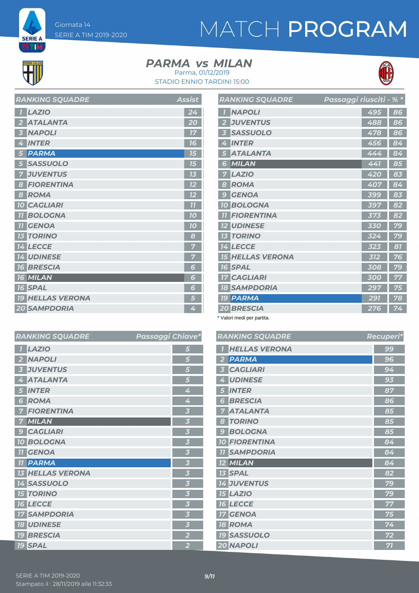# MATCH PROGRAM



**SERIE A** ETM

#### **PARMA** *vs* MILAN Parma, 01/12/2019





| <b>LAZIO</b><br>$\overline{1}$    | 24 |
|-----------------------------------|----|
| <b>ATALANTA</b><br>$\overline{2}$ | 20 |
| <b>NAPOLI</b><br>3                | 17 |
| <b>INTER</b><br>4                 | 16 |
| <b>PARMA</b><br>$5\overline{)}$   | 15 |
| <b>SASSUOLO</b><br>5              | 15 |
| <b>JUVENTUS</b><br>7              | 13 |
| <b>FIORENTINA</b><br>8            | 12 |
| <b>ROMA</b><br>8                  | 12 |
| <b>10 CAGLIARI</b>                | 77 |
| <b>11 BOLOGNA</b>                 | 10 |
| <b>11 GENOA</b>                   | 10 |
| <b>13 TORINO</b>                  | 8  |
| 14 LECCE                          |    |
| <b>14 UDINESE</b>                 | 7  |
| <b>16 BRESCIA</b>                 | 6  |
| <b>16 MILAN</b>                   | 6  |
| <b>16 SPAL</b>                    | 6  |
| <b>19 HELLAS VERONA</b>           | 5  |
| <b>20 SAMPDORIA</b>               | 4  |

*RANKING SOUADRE* Assist

|                | <b>RANKING SQUADRE</b>  | Passaggi riusciti - |     | $\frac{9}{6}$ * |
|----------------|-------------------------|---------------------|-----|-----------------|
| $\overline{1}$ | <b>NAPOLI</b>           |                     | 495 | 86              |
| $\overline{2}$ | <b>JUVENTUS</b>         |                     | 488 | 86              |
| 3              | <b>SASSUOLO</b>         |                     | 478 | 86              |
| 4              | <b>INTER</b>            |                     | 456 | 84              |
| 5              | <b>ATALANTA</b>         |                     | 444 | 84              |
| 6              | MILAN                   |                     | 441 | 85              |
| 7              | <b>LAZIO</b>            |                     | 420 | 83              |
| 8              | <b>ROMA</b>             |                     | 407 | 84              |
| 9              | <b>GENOA</b>            |                     | 399 | 83              |
| 10             | <b>BOLOGNA</b>          |                     | 397 | 82              |
| 77             | <b>FIORENTINA</b>       |                     | 373 | 82              |
|                | <b>12 UDINESE</b>       |                     | 330 | 79              |
|                | <b>13 TORINO</b>        |                     | 324 | 79              |
|                | <b>14 LECCE</b>         |                     | 323 | 81              |
|                | <b>15 HELLAS VERONA</b> |                     | 312 | 76              |
|                | <b>16 SPAL</b>          |                     | 308 | 79              |
|                | <b>17 CAGLIARI</b>      |                     | 300 | 77              |
|                | <b>18 SAMPDORIA</b>     |                     | 297 | 75              |
|                | <b>19 PARMA</b>         |                     | 291 | 78              |
|                | <b>20 BRESCIA</b>       |                     | 276 | 74              |

\* Valori medi per partita.

| hiave*                  | <b>RANKING SQUADRE</b>            | Recuperi* |
|-------------------------|-----------------------------------|-----------|
| 5                       | <b>HELLAS VERONA</b>              | 99        |
| 5                       | <b>PARMA</b><br>2                 | 96        |
| 5                       | <b>CAGLIARI</b><br>3              | 94        |
| 5                       | <b>UDINESE</b><br>4               | 93        |
| 4                       | <b>INTER</b><br>5                 | 87        |
| 4                       | <b>BRESCIA</b><br>Б               | 86        |
| $\overline{\mathbf{3}}$ | <b>ATALANTA</b>                   | 85        |
| $\overline{\mathbf{3}}$ | <b>TORINO</b><br>8                | 85        |
| $\overline{\mathbf{3}}$ | <b>BOLOGNA</b><br>g               | 85        |
| $\overline{\mathbf{3}}$ | <b>10 FIORENTINA</b>              | 84        |
| $\overline{\mathbf{3}}$ | <b>SAMPDORIA</b><br>11            | 84        |
| $\overline{\mathbf{3}}$ | <b>MILAN</b><br>$12 \overline{ }$ | 84        |
| $\overline{\mathbf{3}}$ | <b>13 SPAL</b>                    | 82        |
| $\overline{\mathbf{3}}$ | <b>14 JUVENTUS</b>                | 79        |
| $\overline{\mathbf{3}}$ | <b>15 LAZIO</b>                   | 79        |
| $\overline{\mathbf{3}}$ | <b>16 LECCE</b>                   | 77        |
| $\overline{\mathbf{3}}$ | <b>GENOA</b><br>17                | 75        |
| $\overline{\mathbf{3}}$ | <b>18 ROMA</b>                    | 74        |
| $\overline{2}$          | <b>19 SASSUOLO</b>                | 72        |
| $\overline{2}$          | 20 NAPOLI                         | 71        |
|                         |                                   |           |

| <b>RANKING SQUADRE</b>  | Passaggi Chiave* |                         |
|-------------------------|------------------|-------------------------|
| <b>LAZIO</b>            |                  | 5                       |
| <b>NAPOLI</b>           |                  | 5                       |
| <b>JUVENTUS</b>         |                  | 5                       |
| <b>ATALANTA</b>         |                  | 5                       |
| <b>INTER</b>            |                  | 4                       |
| <b>ROMA</b><br>6        |                  | 4                       |
| <b>FIORENTINA</b>       |                  | $\overline{\mathbf{3}}$ |
| <b>MILAN</b>            |                  | $\overline{\mathbf{3}}$ |
| <b>CAGLIARI</b>         |                  | $\overline{\mathbf{3}}$ |
| <b>10 BOLOGNA</b>       |                  | $\overline{\mathbf{3}}$ |
| <b>11 GENOA</b>         |                  | $\overline{\mathbf{3}}$ |
| <b>11 PARMA</b>         |                  | $\overline{\mathbf{3}}$ |
| <b>13 HELLAS VERONA</b> |                  | $\overline{\mathbf{3}}$ |
| <b>14 SASSUOLO</b>      |                  | $\overline{\mathbf{3}}$ |
| <b>15 TORINO</b>        |                  | $\overline{\mathbf{3}}$ |
| <b>16 LECCE</b>         |                  | $\overline{\mathbf{3}}$ |
| <b>17 SAMPDORIA</b>     |                  | $\overline{\mathbf{3}}$ |
| <b>18 UDINESE</b>       |                  | $\overline{\mathbf{3}}$ |
| <b>19 BRESCIA</b>       |                  | $\overline{2}$          |
| <b>19 SPAL</b>          |                  | $\overline{2}$          |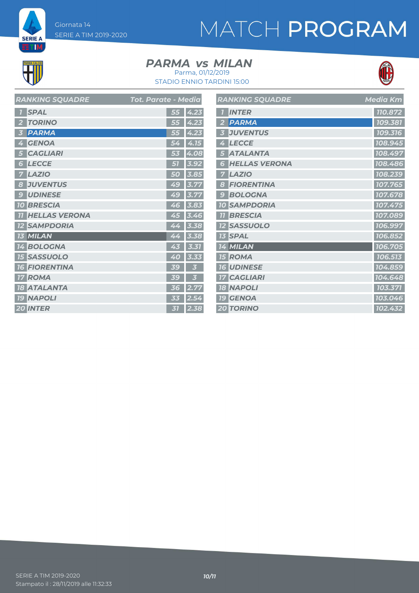Giornata 14 SERIE A TIM 2019-2020 **SERIE A** 

# MATCH PROGRAM



**ETIM** 

### **PARMA** *vs* MILAN



STADIO ENNIO TARDINI 15:00 Parma, 01/12/2019

| <b>RANKING SQUADRE</b>                  | Tot. Parate - Media | F |
|-----------------------------------------|---------------------|---|
| <b>SPAL</b>                             | 55<br>4.23          |   |
| <b>TORINO</b>                           | 4.23<br>55          |   |
| <b>PARMA</b><br>Ŀ.                      | 4.23<br>55          |   |
| <b>GENOA</b><br>4                       | 4.15<br>54          |   |
| <b>CAGLIARI</b><br>5                    | 4.08<br>53          |   |
| <b>LECCE</b><br>6                       | 3.92<br>51          |   |
| <b>LAZIO</b>                            | 3.85<br>50          |   |
| <b>JUVENTUS</b><br>8                    | 3.77<br>49          |   |
| <b>UDINESE</b><br>$\mathbf{C}$          | 3.77<br>49          |   |
| <b>BRESCIA</b><br><b>10</b>             | 3.83<br>46          |   |
| <b>HELLAS VERONA</b><br>$\overline{11}$ | 3.46<br>45          |   |
| <b>SAMPDORIA</b>                        | 3.38<br>44          |   |
| MILAN                                   | 3.38<br>44          |   |
| <b>BOLOGNA</b><br>14                    | 3.31<br>43          |   |
| <b>SASSUOLO</b><br>75                   | 40<br>3.33          |   |
| <b>FIORENTINA</b><br><b>16</b>          | <b>39</b><br>k      |   |
| <b>ROMA</b><br>17                       | 39<br>k             |   |
| <b>ATALANTA</b><br>18                   | 2.77<br>36          |   |
| <b>NAPOLI</b><br><b>19</b>              | 2.54<br>33          |   |
| <b>20 INTER</b>                         | 2.38<br>37          |   |

|                | <b>RANKING SQUADRE</b> | <b>Media Km</b>      |
|----------------|------------------------|----------------------|
| $\overline{1}$ | <b>INTER</b>           | 110.872              |
| $\overline{2}$ | <b>PARMA</b>           | 109.381              |
| 3              | <b>JUVENTUS</b>        | 109.316              |
| 4              | <b>LECCE</b>           | 108.945              |
| 5              | <b>ATALANTA</b>        | 108.497              |
| 6              | <b>HELLAS VERONA</b>   | 108.486              |
| 7              | <b>LAZIO</b>           | 108.239              |
| 8              | <b>FIORENTINA</b>      | 107.765              |
| 9              | <b>BOLOGNA</b>         | 107.678              |
|                | <b>10 SAMPDORIA</b>    | 107.475              |
| 77             | <b>BRESCIA</b>         | 107.089              |
|                | <b>12 SASSUOLO</b>     | 106.997              |
|                | <b>13 SPAL</b>         | 106.852              |
|                | 14 MILAN               | 106.705              |
|                | <b>15 ROMA</b>         | 106.513              |
|                | <b>16 UDINESE</b>      | 104.859              |
|                | <b>17 CAGLIARI</b>     | 104.648              |
|                | <b>18 NAPOLI</b>       | 103.371              |
|                | <b>19 GENOA</b>        | 103.046              |
|                | <b>20 TORINO</b>       | $\overline{102.}432$ |